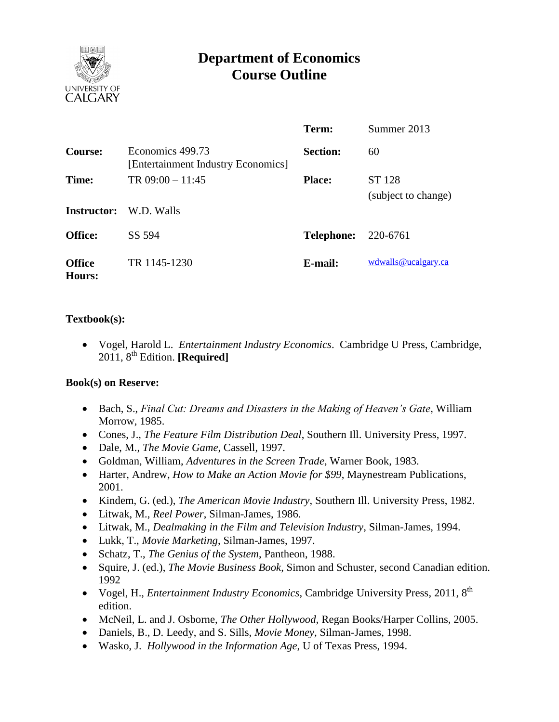

# **Department of Economics Course Outline**

|                         |                                                        | Term:             | Summer 2013                   |
|-------------------------|--------------------------------------------------------|-------------------|-------------------------------|
| Course:                 | Economics 499.73<br>[Entertainment Industry Economics] | <b>Section:</b>   | 60                            |
| Time:                   | TR $09:00 - 11:45$                                     | <b>Place:</b>     | ST 128<br>(subject to change) |
| <b>Instructor:</b>      | W.D. Walls                                             |                   |                               |
| <b>Office:</b>          | SS 594                                                 | <b>Telephone:</b> | 220-6761                      |
| <b>Office</b><br>Hours: | TR 1145-1230                                           | E-mail:           | wdwalls@ucalgary.ca           |

# **Textbook(s):**

 Vogel, Harold L. *Entertainment Industry Economics*. Cambridge U Press, Cambridge, 2011, 8th Edition. **[Required]**

# **Book(s) on Reserve:**

- Bach, S., *Final Cut: Dreams and Disasters in the Making of Heaven's Gate*, William Morrow, 1985.
- Cones, J., *The Feature Film Distribution Deal*, Southern Ill. University Press, 1997.
- Dale, M., *The Movie Game*, Cassell, 1997.
- Goldman, William, *Adventures in the Screen Trade*, Warner Book, 1983.
- Harter, Andrew, *How to Make an Action Movie for \$99*, Maynestream Publications, 2001.
- Kindem, G. (ed.), *The American Movie Industry*, Southern Ill. University Press, 1982.
- Litwak, M., *Reel Power*, Silman-James, 1986.
- Litwak, M., *Dealmaking in the Film and Television Industry*, Silman-James, 1994.
- Lukk, T., *Movie Marketing*, Silman-James, 1997.
- Schatz, T., *The Genius of the System*, Pantheon, 1988.
- Squire, J. (ed.), *The Movie Business Book*, Simon and Schuster, second Canadian edition. 1992
- Vogel, H., *Entertainment Industry Economics*, Cambridge University Press, 2011, 8<sup>th</sup> edition.
- McNeil, L. and J. Osborne, *The Other Hollywood,* Regan Books/Harper Collins, 2005.
- Daniels, B., D. Leedy, and S. Sills, *Movie Money,* Silman-James, 1998.
- Wasko, J. *Hollywood in the Information Age*, U of Texas Press, 1994.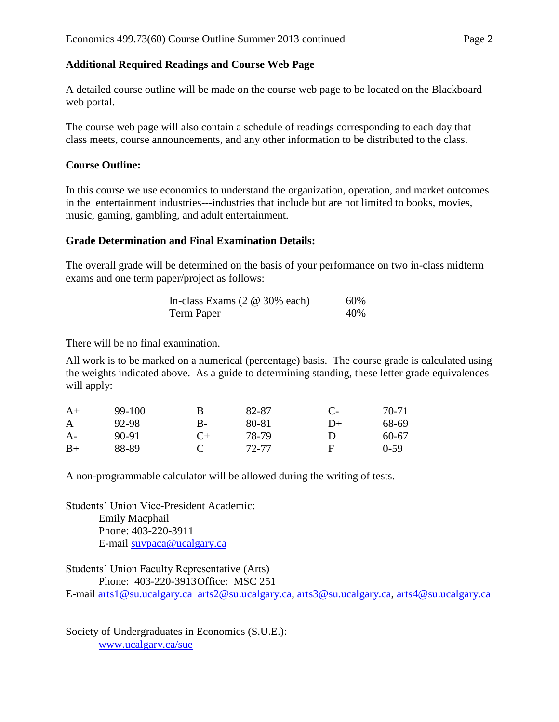# **Additional Required Readings and Course Web Page**

A detailed course outline will be made on the course web page to be located on the Blackboard web portal.

The course web page will also contain a schedule of readings corresponding to each day that class meets, course announcements, and any other information to be distributed to the class.

# **Course Outline:**

In this course we use economics to understand the organization, operation, and market outcomes in the entertainment industries---industries that include but are not limited to books, movies, music, gaming, gambling, and adult entertainment.

# **Grade Determination and Final Examination Details:**

The overall grade will be determined on the basis of your performance on two in-class midterm exams and one term paper/project as follows:

| In-class Exams $(2 \otimes 30\% \text{ each})$ | 60% |
|------------------------------------------------|-----|
| Term Paper                                     | 40% |

There will be no final examination.

All work is to be marked on a numerical (percentage) basis. The course grade is calculated using the weights indicated above. As a guide to determining standing, these letter grade equivalences will apply:

| $A+$ | 99-100 | В         | 82-87 | $C$ - | $70-71$ |
|------|--------|-----------|-------|-------|---------|
| A    | 92-98  | В-        | 80-81 | $D+$  | 68-69   |
| $A-$ | 90-91  | $C_{\pm}$ | 78-79 | D     | 60-67   |
| $B+$ | 88-89  |           | 72-77 | F     | $0-59$  |

A non-programmable calculator will be allowed during the writing of tests.

Students' Union Vice-President Academic: Emily Macphail Phone: 403-220-3911 E-mail [suvpaca@ucalgary.ca](mailto:subpaca@ucalgary.ca)

Students' Union Faculty Representative (Arts) Phone: 403-220-3913Office: MSC 251

E-mail [arts1@su.ucalgary.ca](mailto:arts1@su.ucalgary.ca) [arts2@su.ucalgary.ca,](mailto:arts2@su.ucalgary.ca) [arts3@su.ucalgary.ca,](mailto:arts3@su.ucalgary.ca) [arts4@su.ucalgary.ca](mailto:arts4@su.ucalgary.ca)

Society of Undergraduates in Economics (S.U.E.): [www.ucalgary.ca/sue](http://www.fp.ucalgary.ca/econ)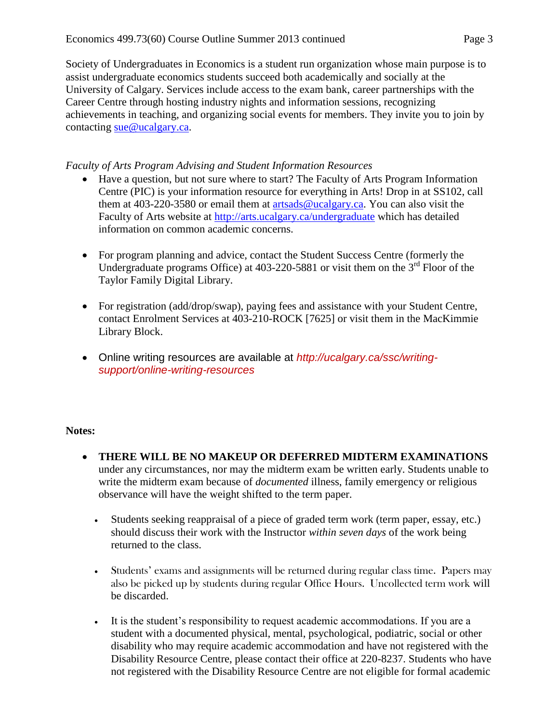Society of Undergraduates in Economics is a student run organization whose main purpose is to assist undergraduate economics students succeed both academically and socially at the University of Calgary. Services include access to the exam bank, career partnerships with the Career Centre through hosting industry nights and information sessions, recognizing achievements in teaching, and organizing social events for members. They invite you to join by contacting [sue@ucalgary.ca.](mailto:sue@ucalgary.ca)

#### *Faculty of Arts Program Advising and Student Information Resources*

- Have a question, but not sure where to start? The Faculty of Arts Program Information Centre (PIC) is your information resource for everything in Arts! Drop in at SS102, call them at 403-220-3580 or email them at  $artsads@ucalgary.ca.$  You can also visit the Faculty of Arts website at<http://arts.ucalgary.ca/undergraduate> which has detailed information on common academic concerns.
- For program planning and advice, contact the Student Success Centre (formerly the Undergraduate programs Office) at 403-220-5881 or visit them on the 3<sup>rd</sup> Floor of the Taylor Family Digital Library.
- For registration (add/drop/swap), paying fees and assistance with your Student Centre, contact Enrolment Services at 403-210-ROCK [7625] or visit them in the MacKimmie Library Block.
- Online writing resources are available at *http://ucalgary.ca/ssc/writingsupport/online-writing-resources*

#### **Notes:**

- **THERE WILL BE NO MAKEUP OR DEFERRED MIDTERM EXAMINATIONS** under any circumstances, nor may the midterm exam be written early. Students unable to write the midterm exam because of *documented* illness, family emergency or religious observance will have the weight shifted to the term paper.
	- Students seeking reappraisal of a piece of graded term work (term paper, essay, etc.) should discuss their work with the Instructor *within seven days* of the work being returned to the class.
	- Students' exams and assignments will be returned during regular class time. Papers may also be picked up by students during regular Office Hours. Uncollected term work will be discarded.
	- It is the student's responsibility to request academic accommodations. If you are a student with a documented physical, mental, psychological, podiatric, social or other disability who may require academic accommodation and have not registered with the Disability Resource Centre, please contact their office at 220-8237. Students who have not registered with the Disability Resource Centre are not eligible for formal academic